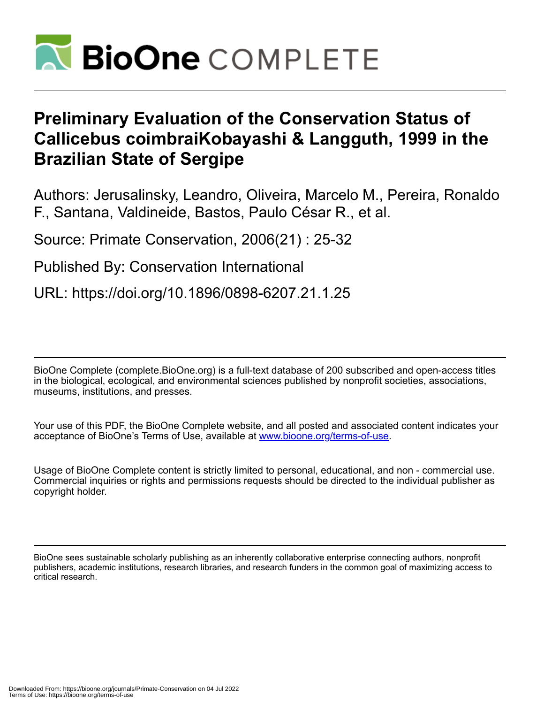

# **Preliminary Evaluation of the Conservation Status of Callicebus coimbraiKobayashi & Langguth, 1999 in the Brazilian State of Sergipe**

Authors: Jerusalinsky, Leandro, Oliveira, Marcelo M., Pereira, Ronaldo F., Santana, Valdineide, Bastos, Paulo César R., et al.

Source: Primate Conservation, 2006(21) : 25-32

Published By: Conservation International

URL: https://doi.org/10.1896/0898-6207.21.1.25

BioOne Complete (complete.BioOne.org) is a full-text database of 200 subscribed and open-access titles in the biological, ecological, and environmental sciences published by nonprofit societies, associations, museums, institutions, and presses.

Your use of this PDF, the BioOne Complete website, and all posted and associated content indicates your acceptance of BioOne's Terms of Use, available at www.bioone.org/terms-of-use.

Usage of BioOne Complete content is strictly limited to personal, educational, and non - commercial use. Commercial inquiries or rights and permissions requests should be directed to the individual publisher as copyright holder.

BioOne sees sustainable scholarly publishing as an inherently collaborative enterprise connecting authors, nonprofit publishers, academic institutions, research libraries, and research funders in the common goal of maximizing access to critical research.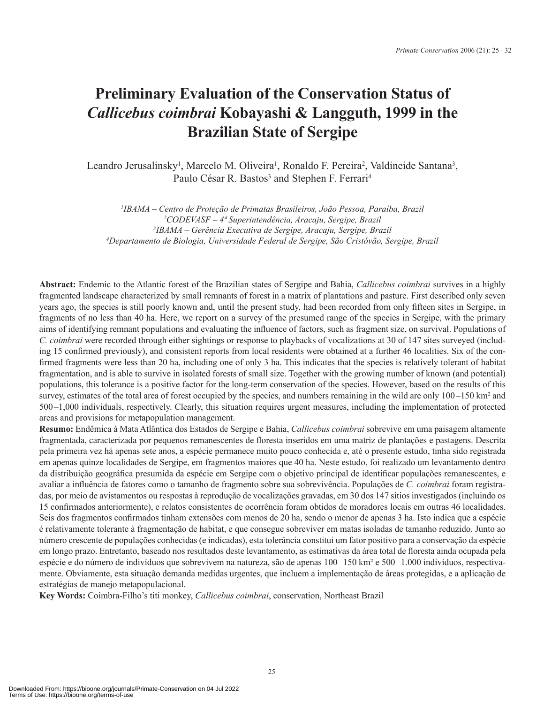## **Preliminary Evaluation of the Conservation Status of**  *Callicebus coimbrai* **Kobayashi & Langguth, 1999 in the Brazilian State of Sergipe**

Leandro Jerusalinsky<sup>1</sup>, Marcelo M. Oliveira<sup>1</sup>, Ronaldo F. Pereira<sup>2</sup>, Valdineide Santana<sup>3</sup>, Paulo César R. Bastos<sup>3</sup> and Stephen F. Ferrari<sup>4</sup>

 *IBAMA – Centro de Proteção de Primatas Brasileiros, João Pessoa, Paraíba, Brazil CODEVASF – 4ª Superintendência, Aracaju, Sergipe, Brazil IBAMA – Gerência Executiva de Sergipe, Aracaju, Sergipe, Brazil Departamento de Biologia, Universidade Federal de Sergipe, São Cristóvão, Sergipe, Brazil*

**Abstract:** Endemic to the Atlantic forest of the Brazilian states of Sergipe and Bahia, *Callicebus coimbrai* survives in a highly fragmented landscape characterized by small remnants of forest in a matrix of plantations and pasture. First described only seven years ago, the species is still poorly known and, until the present study, had been recorded from only fifteen sites in Sergipe, in fragments of no less than 40 ha. Here, we report on a survey of the presumed range of the species in Sergipe, with the primary aims of identifying remnant populations and evaluating the influence of factors, such as fragment size, on survival. Populations of *C. coimbrai* were recorded through either sightings or response to playbacks of vocalizations at 30 of 147 sites surveyed (including 15 confirmed previously), and consistent reports from local residents were obtained at a further 46 localities. Six of the confirmed fragments were less than 20 ha, including one of only 3 ha. This indicates that the species is relatively tolerant of habitat fragmentation, and is able to survive in isolated forests of small size. Together with the growing number of known (and potential) populations, this tolerance is a positive factor for the long-term conservation of the species. However, based on the results of this survey, estimates of the total area of forest occupied by the species, and numbers remaining in the wild are only 100–150 km<sup>2</sup> and 500–1,000 individuals, respectively. Clearly, this situation requires urgent measures, including the implementation of protected areas and provisions for metapopulation management.

**Resumo:** Endêmica à Mata Atlântica dos Estados de Sergipe e Bahia, *Callicebus coimbrai* sobrevive em uma paisagem altamente fragmentada, caracterizada por pequenos remanescentes de floresta inseridos em uma matriz de plantações e pastagens. Descrita pela primeira vez há apenas sete anos, a espécie permanece muito pouco conhecida e, até o presente estudo, tinha sido registrada em apenas quinze localidades de Sergipe, em fragmentos maiores que 40 ha. Neste estudo, foi realizado um levantamento dentro da distribuição geográfica presumida da espécie em Sergipe com o objetivo principal de identificar populações remanescentes, e avaliar a influência de fatores como o tamanho de fragmento sobre sua sobrevivência. Populações de *C. coimbrai* foram registradas, por meio de avistamentos ou respostas à reprodução de vocalizações gravadas, em 30 dos 147 sítios investigados (incluindo os 15 confirmados anteriormente), e relatos consistentes de ocorrência foram obtidos de moradores locais em outras 46 localidades. Seis dos fragmentos confirmados tinham extensões com menos de 20 ha, sendo o menor de apenas 3 ha. Isto indica que a espécie é relativamente tolerante à fragmentação de habitat, e que consegue sobreviver em matas isoladas de tamanho reduzido. Junto ao número crescente de populações conhecidas (e indicadas), esta tolerância constitui um fator positivo para a conservação da espécie em longo prazo. Entretanto, baseado nos resultados deste levantamento, as estimativas da área total de floresta ainda ocupada pela espécie e do número de indivíduos que sobrevivem na natureza, são de apenas 100–150 km² e 500–1.000 indivíduos, respectivamente. Obviamente, esta situação demanda medidas urgentes, que incluem a implementação de áreas protegidas, e a aplicação de estratégias de manejo metapopulacional.

**Key Words:** Coimbra-Filho's titi monkey, *Callicebus coimbrai*, conservation, Northeast Brazil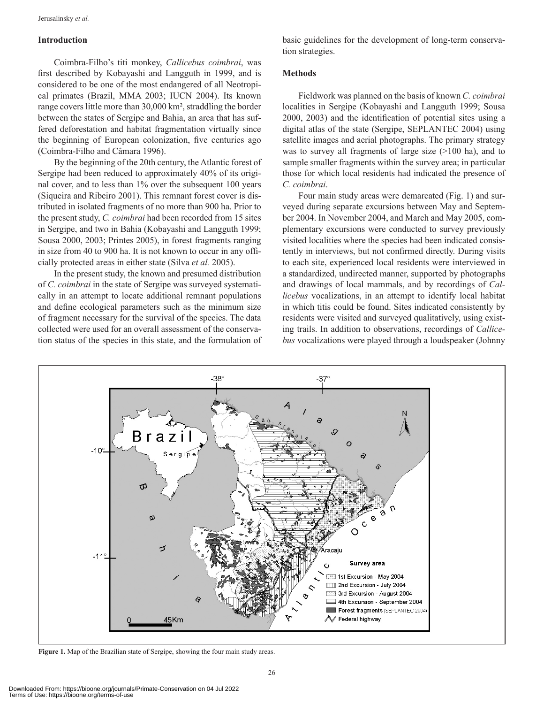#### **Introduction**

Coimbra-Filho's titi monkey, *Callicebus coimbrai*, was first described by Kobayashi and Langguth in 1999, and is considered to be one of the most endangered of all Neotropical primates (Brazil, MMA 2003; IUCN 2004). Its known range covers little more than 30,000 km², straddling the border between the states of Sergipe and Bahia, an area that has suffered deforestation and habitat fragmentation virtually since the beginning of European colonization, five centuries ago (Coimbra-Filho and Câmara 1996).

By the beginning of the 20th century, the Atlantic forest of Sergipe had been reduced to approximately 40% of its original cover, and to less than 1% over the subsequent 100 years (Siqueira and Ribeiro 2001). This remnant forest cover is distributed in isolated fragments of no more than 900 ha. Prior to the present study, *C. coimbrai* had been recorded from 15 sites in Sergipe, and two in Bahia (Kobayashi and Langguth 1999; Sousa 2000, 2003; Printes 2005), in forest fragments ranging in size from 40 to 900 ha. It is not known to occur in any officially protected areas in either state (Silva *et al.* 2005).

In the present study, the known and presumed distribution of *C. coimbrai* in the state of Sergipe was surveyed systematically in an attempt to locate additional remnant populations and define ecological parameters such as the minimum size of fragment necessary for the survival of the species. The data collected were used for an overall assessment of the conservation status of the species in this state, and the formulation of basic guidelines for the development of long-term conservation strategies.

#### **Methods**

Fieldwork was planned on the basis of known *C. coimbrai* localities in Sergipe (Kobayashi and Langguth 1999; Sousa 2000, 2003) and the identification of potential sites using a digital atlas of the state (Sergipe, SEPLANTEC 2004) using satellite images and aerial photographs. The primary strategy was to survey all fragments of large size (>100 ha), and to sample smaller fragments within the survey area; in particular those for which local residents had indicated the presence of *C. coimbrai*.

Four main study areas were demarcated (Fig. 1) and surveyed during separate excursions between May and September 2004. In November 2004, and March and May 2005, complementary excursions were conducted to survey previously visited localities where the species had been indicated consistently in interviews, but not confirmed directly. During visits to each site, experienced local residents were interviewed in a standardized, undirected manner, supported by photographs and drawings of local mammals, and by recordings of *Callicebus* vocalizations, in an attempt to identify local habitat in which titis could be found. Sites indicated consistently by residents were visited and surveyed qualitatively, using exist ing trails. In addition to observations, recordings of *Callicebus* vocalizations were played through a loudspeaker (Johnny



**Figure 1.** Map of the Brazilian state of Sergipe, showing the four main study areas.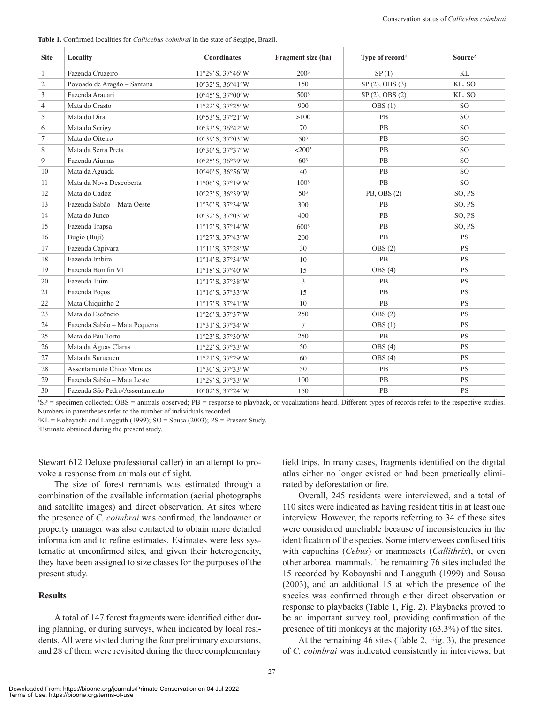**Table 1.** Confirmed localities for *Callicebus coimbrai* in the state of Sergipe, Brazil.

| <b>Site</b>    | Locality                       | <b>Coordinates</b>                   | Fragment size (ha)   | Type of record <sup>1</sup> | Source <sup>2</sup> |
|----------------|--------------------------------|--------------------------------------|----------------------|-----------------------------|---------------------|
| $\mathbf{1}$   | Fazenda Cruzeiro               | 11°29' S, 37°46' W                   | 2003                 | SP(1)                       | KL                  |
| $\overline{c}$ | Povoado de Aragão - Santana    | $10^{\circ}32'$ S, $36^{\circ}41'$ W | 150                  | SP(2), OBS(3)               | KL, SO              |
| 3              | Fazenda Arauari                | $10^{\circ}45'$ S, $37^{\circ}00'$ W | 500 <sup>3</sup>     | $SP(2)$ , OBS $(2)$         | KL, SO              |
| 4              | Mata do Crasto                 | 11°22' S, 37°25' W                   | 900                  | OBS(1)                      | SO <sub>1</sub>     |
| 5              | Mata do Dira                   | $10^{\circ}53'$ S, $37^{\circ}21'$ W | >100                 | PB                          | <sub>SO</sub>       |
| 6              | Mata do Serigy                 | $10^{\circ}33'$ S, $36^{\circ}42'$ W | 70                   | PB                          | <b>SO</b>           |
| 7              | Mata do Oiteiro                | $10^{\circ}39'$ S, $37^{\circ}03'$ W | 50 <sup>3</sup>      | <b>PB</b>                   | <sub>SO</sub>       |
| $\,$ 8 $\,$    | Mata da Serra Preta            | $10^{\circ}30'$ S, $37^{\circ}37'$ W | $<$ 200 <sup>3</sup> | PB                          | <sub>SO</sub>       |
| 9              | Fazenda Aiumas                 | $10^{\circ}25'$ S, $36^{\circ}39'$ W | 60 <sup>3</sup>      | PB                          | <b>SO</b>           |
| 10             | Mata da Aguada                 | $10^{\circ}40'$ S, $36^{\circ}56'$ W | 40                   | <b>PB</b>                   | SO <sub>1</sub>     |
| 11             | Mata da Nova Descoberta        | $11^{\circ}06'$ S, $37^{\circ}19'$ W | 100 <sup>3</sup>     | PB                          | <sub>SO</sub>       |
| 12             | Mata do Cadoz                  | 10°23' S, 36°39' W                   | 50 <sup>3</sup>      | PB, OBS (2)                 | SO, PS              |
| 13             | Fazenda Sabão - Mata Oeste     | 11°30' S, 37°34' W                   | 300                  | PB                          | SO, PS              |
| 14             | Mata do Junco                  | $10^{\circ}32'$ S, $37^{\circ}03'$ W | 400                  | PB                          | SO, PS              |
| 15             | Fazenda Trapsa                 | $11^{\circ}12'$ S, $37^{\circ}14'$ W | 6003                 | PB                          | SO, PS              |
| 16             | Bugio (Buji)                   | $11°27'$ S, $37°43'$ W               | 200                  | PB                          | <b>PS</b>           |
| 17             | Fazenda Capivara               | 11°11'S, 37°28'W                     | 30                   | OBS(2)                      | <b>PS</b>           |
| 18             | Fazenda Imbira                 | $11^{\circ}14'$ S, $37^{\circ}34'$ W | 10                   | PB                          | <b>PS</b>           |
| 19             | Fazenda Bomfin VI              | $11^{\circ}18'$ S, $37^{\circ}40'$ W | 15                   | OBS(4)                      | <b>PS</b>           |
| 20             | Fazenda Tuim                   | $11^{\circ}17'$ S, $37^{\circ}38'$ W | 3                    | PB                          | <b>PS</b>           |
| 21             | Fazenda Poços                  | 11°16' S, 37°33' W                   | 15                   | PB                          | <b>PS</b>           |
| 22             | Mata Chiquinho 2               | $11^{\circ}17'$ S, $37^{\circ}41'$ W | 10                   | PB                          | <b>PS</b>           |
| 23             | Mata do Escôncio               | $11°26'$ S, $37°37'$ W               | 250                  | OBS(2)                      | <b>PS</b>           |
| 24             | Fazenda Sabão - Mata Pequena   | $11°31'$ S, $37°34'$ W               | $\overline{7}$       | OBS(1)                      | <b>PS</b>           |
| 25             | Mata do Pau Torto              | 11°23' S, 37°30' W                   | 250                  | PB                          | <b>PS</b>           |
| 26             | Mata da Águas Claras           | $11°22'$ S, $37°33'$ W               | 50                   | OBS(4)                      | <b>PS</b>           |
| 27             | Mata da Surucucu               | $11°21'$ S, $37°29'$ W               | 60                   | OBS(4)                      | <b>PS</b>           |
| 28             | Assentamento Chico Mendes      | 11°30' S, 37°33' W                   | 50                   | PB                          | <b>PS</b>           |
| 29             | Fazenda Sabão - Mata Leste     | $11°29'$ S, $37°33'$ W               | 100                  | PB                          | <b>PS</b>           |
| 30             | Fazenda São Pedro/Assentamento | $10^{\circ}02'$ S, $37^{\circ}24'$ W | 150                  | PB                          | PS                  |

 ${}^{1}SP$  = specimen collected; OBS = animals observed;  $PB$  = response to playback, or vocalizations heard. Different types of records refer to the respective studies. Numbers in parentheses refer to the number of individuals recorded.

 ${}^{2}KL =$ Kobayashi and Langguth (1999); SO = Sousa (2003); PS = Present Study.

<sup>3</sup>Estimate obtained during the present study.

Stewart 612 Deluxe professional caller) in an attempt to provoke a response from animals out of sight.

The size of forest remnants was estimated through a combination of the available information (aerial photographs and satellite images) and direct observation. At sites where the presence of *C. coimbrai* was confirmed, the landowner or property manager was also contacted to obtain more detailed information and to refine estimates. Estimates were less systematic at unconfirmed sites, and given their heterogeneity, they have been assigned to size classes for the purposes of the present study.

#### **Results**

A total of 147 forest fragments were identified either dur ing planning, or during surveys, when indicated by local residents. All were visited during the four preliminary excursions, and 28 of them were revisited during the three complementary

field trips. In many cases, fragments identified on the digital atlas either no longer existed or had been practically eliminated by deforestation or fire.

Overall, 245 residents were interviewed, and a total of 110 sites were indicated as having resident titis in at least one interview. However, the reports referring to 34 of these sites were considered unreliable because of inconsistencies in the identification of the species. Some interviewees confused titis with capuchins (*Cebus*) or marmosets (*Callithrix*), or even other arboreal mammals. The remaining 76 sites included the 15 recorded by Kobayashi and Langguth (1999) and Sousa (2003), and an additional 15 at which the presence of the species was confirmed through either direct observation or response to playbacks (Table 1, Fig. 2). Playbacks proved to be an important survey tool, providing confirmation of the presence of titi monkeys at the majority (63.3%) of the sites.

At the remaining 46 sites (Table 2, Fig. 3), the presence of *C. coimbrai* was indicated consistently in interviews, but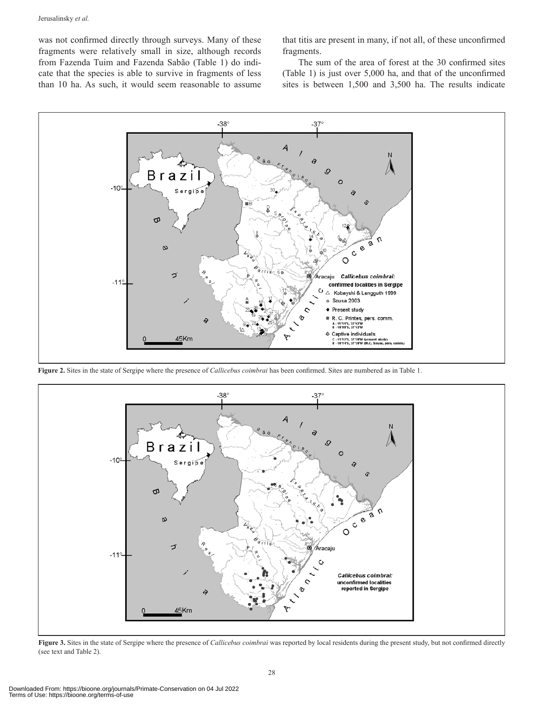was not confirmed directly through surveys. Many of these fragments were relatively small in size, although records from Fazenda Tuim and Fazenda Sabão (Table 1) do indicate that the species is able to survive in fragments of less than 10 ha. As such, it would seem reasonable to assume

that titis are present in many, if not all, of these unconfirmed fragments.

The sum of the area of forest at the 30 confirmed sites (Table 1) is just over 5,000 ha, and that of the unconfirmed sites is between 1,500 and 3,500 ha. The results indicate



**Figure 2.** Sites in the state of Sergipe where the presence of *Callicebus coimbrai* has been confirmed. Sites are numbered as in Table 1.



**Figure 3.** Sites in the state of Sergipe where the presence of *Callicebus coimbrai* was reported by local residents during the present study, but not confirmed directly (see text and Table 2).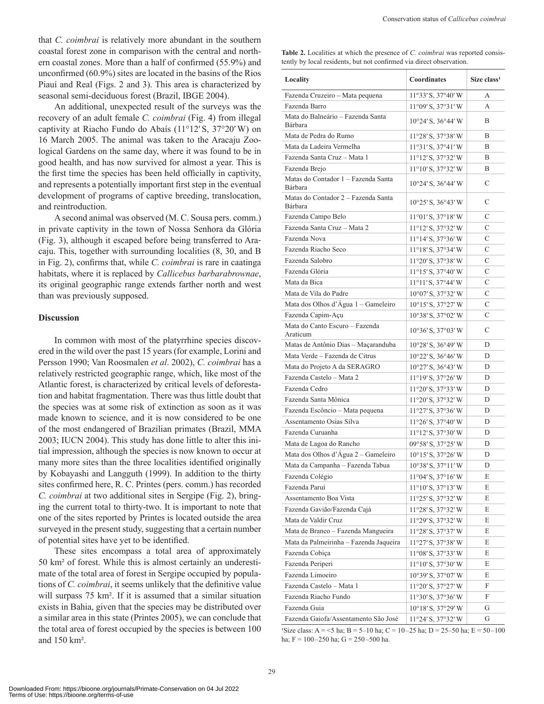that *C. coimbrai* is relatively more abundant in the southern coastal forest zone in comparison with the central and northern coastal zones. More than a half of confirmed (55.9%) and unconfirmed (60.9%) sites are located in the basins of the Rios Piauí and Real (Figs. 2 and 3). This area is characterized by seasonal semi-deciduous forest (Brazil, IBGE 2004).

An additional, unexpected result of the surveys was the recovery of an adult female *C. coimbrai* (Fig. 4) from illegal captivity at Riacho Fundo do Abaís (11°12′ S, 37°20′ W) on 16 March 2005. The animal was taken to the Aracaju Zoological Gardens on the same day, where it was found to be in good health, and has now survived for almost a year. This is the first time the species has been held officially in captivity, and represents a potentially important first step in the eventual development of programs of captive breeding, translocation, and reintroduction.

A second animal was observed (M. C. Sousa pers. comm.) in private captivity in the town of Nossa Senhora da Glória (Fig. 3), although it escaped before being transferred to Aracaju. This, together with surrounding localities (8, 30, and B in Fig. 2), confirms that, while *C. coimbrai* is rare in caatinga habitats, where it is replaced by *Callicebus barbarabrownae*, its original geographic range extends farther north and west than was previously supposed.

#### **Discussion**

In common with most of the platyrrhine species discovered in the wild over the past 15 years (for example, Lorini and Persson 1990; Van Roosmalen *et al*. 2002), *C. coimbrai* has a relatively restricted geographic range, which, like most of the Atlantic forest, is characterized by critical levels of deforestation and habitat fragmentation. There was thus little doubt that the species was at some risk of extinction as soon as it was made known to science, and it is now considered to be one of the most endangered of Brazilian primates (Brazil, MMA 2003; IUCN 2004). This study has done little to alter this initial impression, although the species is now known to occur at many more sites than the three localities identified originally by Kobayashi and Langguth (1999). In addition to the thirty sites confirmed here, R. C. Printes (pers. comm.) has recorded *C. coimbrai* at two additional sites in Sergipe (Fig. 2), bring ing the current total to thirty-two. It is important to note that one of the sites reported by Printes is located outside the area surveyed in the present study, suggesting that a certain number of potential sites have yet to be identified.

These sites encompass a total area of approximately 50 km² of forest. While this is almost certainly an underestimate of the total area of forest in Sergipe occupied by populations of *C. coimbrai*, it seems unlikely that the definitive value will surpass 75 km<sup>2</sup>. If it is assumed that a similar situation exists in Bahia, given that the species may be distributed over a similar area in this state (Printes 2005), we can conclude that the total area of forest occupied by the species is between 100 and 150 km².

**Table 2.** Localities at which the presence of *C. coimbrai* was reported consistently by local residents, but not confirmed via direct observation.

| Locality                                       | Coordinates                          | Size class <sup>1</sup> |
|------------------------------------------------|--------------------------------------|-------------------------|
| Fazenda Cruzeiro - Mata pequena                | $11^{\circ}33'$ S, $37^{\circ}40'$ W | А                       |
| Fazenda Barro                                  | 11°09' S, 37°31' W                   | A                       |
| Mata do Balneário – Fazenda Santa<br>Bárbara   | 10°24' S, 36°44' W                   | B                       |
| Mata de Pedra do Rumo                          | 11°28' S, 37°38' W                   | B                       |
| Mata da Ladeira Vermelha                       | 11°31'S, 37°41'W                     | B                       |
| Fazenda Santa Cruz - Mata 1                    | 11°12'S, 37°32'W                     | B                       |
| Fazenda Brejo                                  | 11°10'S, 37°32'W                     | B                       |
| Matas do Contador 1 - Fazenda Santa<br>Bárbara | 10°24' S, 36°44' W                   | C                       |
| Matas do Contador 2 - Fazenda Santa<br>Bárbara | $10^{\circ}25'$ S, $36^{\circ}43'$ W | C                       |
| Fazenda Campo Belo                             | $11°01'$ S, $37°18'$ W               | C                       |
| Fazenda Santa Cruz - Mata 2                    | 11°12'S, 37°32'W                     | C                       |
| Fazenda Nova                                   | $11^{\circ}14'$ S, $37^{\circ}36'$ W | C                       |
| Fazenda Riacho Seco                            | $11^{\circ}18'$ S, $37^{\circ}34'$ W | C                       |
| Fazenda Salobro                                | $11^{\circ}20'$ S, $37^{\circ}38'$ W | С                       |
| Fazenda Glória                                 | 11°15'S, 37°40'W                     | С                       |
| Mata da Bica                                   | $11^{\circ}11'$ S, $37^{\circ}44'$ W | C                       |
| Mata de Vila do Padre                          | $10^{\circ}07'$ S, $37^{\circ}32'$ W | C                       |
| Mata dos Olhos d'Água 1 - Gameleiro            | $10^{\circ}15'$ S, $37^{\circ}27'$ W | C                       |
| Fazenda Capim-Açu                              | 10°38' S, 37°02' W                   | C                       |
| Mata do Canto Escuro - Fazenda<br>Araticum     | $10^{\circ}36'$ S, $37^{\circ}03'$ W | C                       |
| Matas de Antônio Dias - Maçaranduba            | 10°28' S, 36°49' W                   | D                       |
| Mata Verde - Fazenda de Citrus                 | 10°22' S, 36°46' W                   | D                       |
| Mata do Projeto A da SERAGRO                   | 10°27' S, 36°43' W                   | D                       |
| Fazenda Castelo - Mata 2                       | $11^{\circ}19'$ S, $37^{\circ}26'$ W | D                       |
| Fazenda Cedro                                  | 11°20'S, 37°33'W                     | D                       |
| Fazenda Santa Mônica                           | 11°20'S, 37°32'W                     | D                       |
| Fazenda Escôncio - Mata pequena                | $11°27'$ S, $37°36'$ W               | D                       |
| Assentamento Osias Silva                       | 11°26' S, 37°40' W                   | D                       |
| Fazenda Curuanha                               | $11^{\circ}12'$ S, $37^{\circ}30'$ W | D                       |
| Mata de Lagoa do Rancho                        | 09°58' S, 37°25' W                   | D                       |
| Mata dos Olhos d'Água 2 – Gameleiro            | $10^{\circ}15'$ S, $37^{\circ}26'$ W | D                       |
| Mata da Campanha - Fazenda Tabua               | 10°38' S, 37°11' W                   | D                       |
| Fazenda Colégio                                | $11°04'$ S, $37°16'$ W               | E                       |
| Fazenda Paruí                                  | 11°10'S, 37°13'W                     | E                       |
| Assentamento Boa Vista                         | 11°25' S, 37°32' W                   | E                       |
| Fazenda Gavião/Fazenda Cajá                    | 11°28' S, 37°32' W                   | E                       |
| Mata de Valdir Cruz                            | 11°29' S, 37°32' W                   | E                       |
| Mata de Branco - Fazenda Mangueira             | 11°28' S, 37°37' W                   | E                       |
| Mata da Palmeirinha - Fazenda Jaqueira         | $11°27'$ S, $37°38'$ W               | E                       |
| Fazenda Cobiça                                 | 11°08' S, 37°33' W                   | E                       |
| Fazenda Periperi                               | 11°10'S, 37°30'W                     | E                       |
| Fazenda Limoeiro                               | 10°39' S, 37°07' W                   | E                       |
| Fazenda Castelo - Mata 1                       | 11°20'S, 37°27'W                     | F                       |
| Fazenda Riacho Fundo                           | 11°30'S, 37°36'W                     | F                       |
| Fazenda Guia                                   | $10^{\circ}18'$ S, $37^{\circ}29'$ W | G                       |
| Fazenda Gaiofa/Assentamento São José           | 11°24' S, 37°32' W                   | G                       |

Size class: A = <5 ha; B = 5–10 ha; C = 10–25 ha; D = 25–50 ha; E = 50–100 ha; F = 100–250 ha; G = 250–500 ha.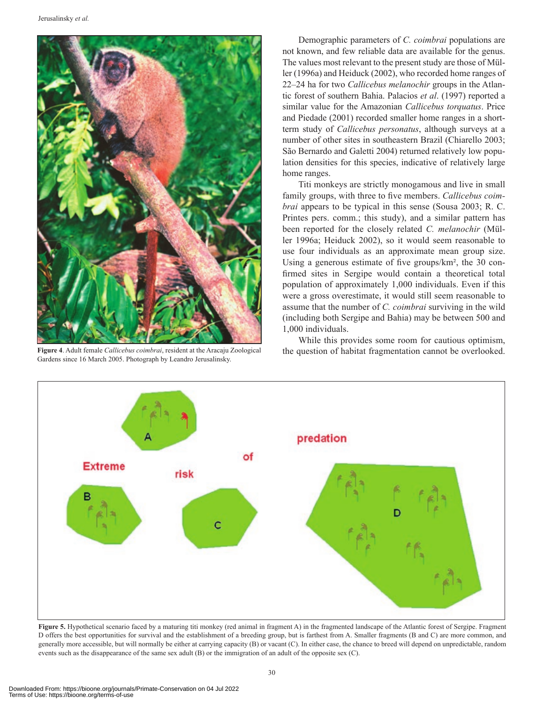

**Figure 4**. Adult female *Callicebus coimbrai*, resident at the Aracaju Zoological Gardens since 16 March 2005. Photograph by Leandro Jerusalinsky.

Demographic parameters of *C. coimbrai* populations are not known, and few reliable data are available for the genus. The values most relevant to the present study are those of Müller (1996a) and Heiduck (2002), who recorded home ranges of 22–24 ha for two *Callicebus melanochir* groups in the Atlantic forest of southern Bahia. Palacios *et al*. (1997) reported a similar value for the Amazonian *Callicebus torquatus*. Price and Piedade (2001) recorded smaller home ranges in a shortterm study of *Callicebus personatus*, although surveys at a number of other sites in southeastern Brazil (Chiarello 2003; São Bernardo and Galetti 2004) returned relatively low population densities for this species, indicative of relatively large home ranges.

Titi monkeys are strictly monogamous and live in small family groups, with three to five members. *Callicebus coimbrai* appears to be typical in this sense (Sousa 2003; R. C. Printes pers. comm.; this study), and a similar pattern has been reported for the closely related *C. melanochir* (Müller 1996a; Heiduck 2002), so it would seem reasonable to use four individuals as an approximate mean group size. Using a generous estimate of five groups/km², the 30 confirmed sites in Sergipe would contain a theoretical total population of approximately 1,000 individuals. Even if this were a gross overestimate, it would still seem reasonable to assume that the number of *C. coimbrai* surviving in the wild (including both Sergipe and Bahia) may be between 500 and 1,000 individuals.

While this provides some room for cautious optimism, the question of habitat fragmentation cannot be overlooked.



Figure 5. Hypothetical scenario faced by a maturing titi monkey (red animal in fragment A) in the fragmented landscape of the Atlantic forest of Sergipe. Fragment D offers the best opportunities for survival and the establishment of a breeding group, but is farthest from A. Smaller fragments (B and C) are more common, and generally more accessible, but will normally be either at carrying capacity (B) or vacant (C). In either case, the chance to breed will depend on unpredictable, random events such as the disappearance of the same sex adult (B) or the immigration of an adult of the opposite sex (C).

Terms of Use: https://bioone.org/terms-of-use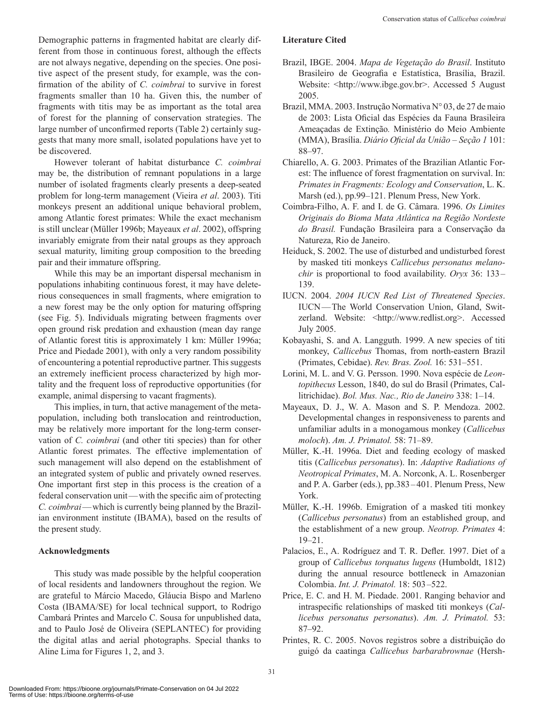Demographic patterns in fragmented habitat are clearly different from those in continuous forest, although the effects are not always negative, depending on the species. One positive aspect of the present study, for example, was the confirmation of the ability of *C. coimbrai* to survive in forest fragments smaller than 10 ha. Given this, the number of fragments with titis may be as important as the total area of forest for the planning of conservation strategies. The large number of unconfirmed reports (Table 2) certainly suggests that many more small, isolated populations have yet to be discovered.

However tolerant of habitat disturbance *C. coimbrai* may be, the distribution of remnant populations in a large number of isolated fragments clearly presents a deep-seated problem for long-term management (Vieira *et al*. 2003). Titi monkeys present an additional unique behavioral problem, among Atlantic forest primates: While the exact mechanism is still unclear (Müller 1996b; Mayeaux *et al*. 2002), offspring invariably emigrate from their natal groups as they approach sexual maturity, limiting group composition to the breeding pair and their immature offspring.

While this may be an important dispersal mechanism in populations inhabiting continuous forest, it may have deleterious consequences in small fragments, where emigration to a new forest may be the only option for maturing offspring (see Fig. 5). Individuals migrating between fragments over open ground risk predation and exhaustion (mean day range of Atlantic forest titis is approximately 1 km: Müller 1996a; Price and Piedade 2001), with only a very random possibility of encountering a potential reproductive partner. This suggests an extremely inefficient process characterized by high mortality and the frequent loss of reproductive opportunities (for example, animal dispersing to vacant fragments).

This implies, in turn, that active management of the metapopulation, including both translocation and reintroduction, may be relatively more important for the long-term conservation of *C. coimbrai* (and other titi species) than for other Atlantic forest primates. The effective implementation of such management will also depend on the establishment of an integrated system of public and privately owned reserves. One important first step in this process is the creation of a federal conservation unit—with the specific aim of protecting *C. coimbrai*—which is currently being planned by the Brazil ian environment institute (IBAMA), based on the results of the present study.

#### **Acknowledgments**

This study was made possible by the helpful cooperation of local residents and landowners throughout the region. We are grateful to Márcio Macedo, Gláucia Bispo and Marleno Costa (IBAMA/SE) for local technical support, to Rodrigo Cambará Printes and Marcelo C. Sousa for unpublished data, and to Paulo José de Oliveira (SEPLANTEC) for providing the digital atlas and aerial photographs. Special thanks to Aline Lima for Figures 1, 2, and 3.

### **Literature Cited**

- Brazil, IBGE. 2004. *Mapa de Vegetação do Brasil*. Instituto Brasileiro de Geografia e Estatística, Brasília, Brazil. Website: <http://www.ibge.gov.br>. Accessed 5 August 2005.
- Brazil, MMA. 2003. Instrução Normativa N° 03, de 27 de maio de 2003: Lista Oficial das Espécies da Fauna Brasileira Ameaçadas de Extinção*.* Ministério do Meio Ambiente (MMA), Brasília. *Diário Oficial da União – Seção 1* 101: 88–97.
- Chiarello, A. G. 2003. Primates of the Brazilian Atlantic Forest: The influence of forest fragmentation on survival. In: *Primates in Fragments: Ecology and Conservation*, L. K. Marsh (ed.), pp.99–121. Plenum Press, New York.
- Coimbra-Filho, A. F. and I. de G. Câmara. 1996. *Os Limites Originais do Bioma Mata Atlântica na Região Nordeste do Brasil.* Fundação Brasileira para a Conservação da Natureza, Rio de Janeiro.
- Heiduck, S. 2002. The use of disturbed and undisturbed forest by masked titi monkeys *Callicebus personatus melanochir* is proportional to food availability. *Oryx* 36: 133– 139.
- IUCN. 2004. *2004 IUCN Red List of Threatened Species*. IUCN—The World Conservation Union, Gland, Switzerland. Website: <http://www.redlist.org>. Accessed July 2005.
- Kobayashi, S. and A. Langguth. 1999. A new species of titi monkey, *Callicebus* Thomas, from north-eastern Brazil (Primates, Cebidae). *Rev. Bras. Zool.* 16: 531–551.
- Lorini, M. L. and V. G. Persson. 1990. Nova espécie de *Leontopithecus* Lesson, 1840, do sul do Brasil (Primates, Callitrichidae). *Bol. Mus. Nac., Rio de Janeiro* 338: 1–14.
- Mayeaux, D. J., W. A. Mason and S. P. Mendoza. 2002. Developmental changes in responsiveness to parents and unfamiliar adults in a monogamous monkey (*Callicebus moloch*). *Am. J. Primatol.* 58: 71–89.
- Müller, K.-H. 1996a. Diet and feeding ecology of masked titis (*Callicebus personatus*). In: *Adaptive Radiations of Neotropical Primates*, M. A. Norconk, A. L. Rosenberger and P. A. Garber (eds.), pp.383–401. Plenum Press, New York.
- Müller, K.-H. 1996b. Emigration of a masked titi monkey (*Callicebus personatus*) from an established group, and the establishment of a new group. *Neotrop. Primates* 4: 19–21.
- Palacios, E., A. Rodríguez and T. R. Defler. 1997. Diet of a group of *Callicebus torquatus lugens* (Humboldt, 1812) during the annual resource bottleneck in Amazonian Colombia. *Int. J. Primatol.* 18: 503–522.
- Price, E. C. and H. M. Piedade. 2001. Ranging behavior and intraspecific relationships of masked titi monkeys (*Callicebus personatus personatus*). *Am. J. Primatol.* 53: 87–92.
- Printes, R. C. 2005. Novos registros sobre a distribuição do guigó da caatinga *Callicebus barbarabrownae* (Hersh-